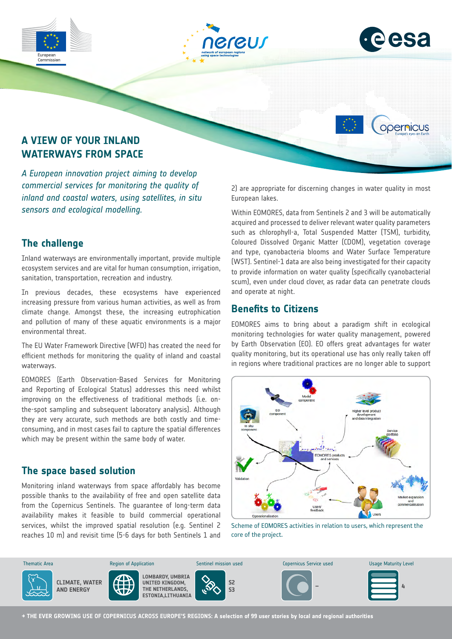





opernicus

# **A VIEW OF YOUR INLAND WATERWAYS FROM SPACE**

*A European innovation project aiming to develop commercial services for monitoring the quality of inland and coastal waters, using satellites, in situ sensors and ecological modelling.*

## **The challenge**

Inland waterways are environmentally important, provide multiple ecosystem services and are vital for human consumption, irrigation, sanitation, transportation, recreation and industry.

In previous decades, these ecosystems have experienced increasing pressure from various human activities, as well as from climate change. Amongst these, the increasing eutrophication and pollution of many of these aquatic environments is a major environmental threat.

The EU Water Framework Directive (WFD) has created the need for efficient methods for monitoring the quality of inland and coastal waterways.

EOMORES (Earth Observation-Based Services for Monitoring and Reporting of Ecological Status) addresses this need whilst improving on the effectiveness of traditional methods (i.e. onthe-spot sampling and subsequent laboratory analysis). Although they are very accurate, such methods are both costly and timeconsuming, and in most cases fail to capture the spatial differences which may be present within the same body of water.

## **The space based solution**

Monitoring inland waterways from space affordably has become possible thanks to the availability of free and open satellite data from the Copernicus Sentinels. The guarantee of long-term data availability makes it feasible to build commercial operational services, whilst the improved spatial resolution (e.g. Sentinel 2 reaches 10 m) and revisit time (5-6 days for both Sentinels 1 and 2) are appropriate for discerning changes in water quality in most European lakes.

Within EOMORES, data from Sentinels 2 and 3 will be automatically acquired and processed to deliver relevant water quality parameters such as chlorophyll-a, Total Suspended Matter (TSM), turbidity, Coloured Dissolved Organic Matter (CDOM), vegetation coverage and type, cyanobacteria blooms and Water Surface Temperature (WST). Sentinel-1 data are also being investigated for their capacity to provide information on water quality (specifically cyanobacterial scum), even under cloud clover, as radar data can penetrate clouds and operate at night.

## **Benefits to Citizens**

EOMORES aims to bring about a paradigm shift in ecological monitoring technologies for water quality management, powered by Earth Observation (EO). EO offers great advantages for water quality monitoring, but its operational use has only really taken off in regions where traditional practices are no longer able to support



Scheme of EOMORES activities in relation to users, which represent the core of the project.



**→ THE EVER GROWING USE OF COPERNICUS ACROSS EUROPE'S REGIONS: A selection of 99 user stories by local and regional authorities**